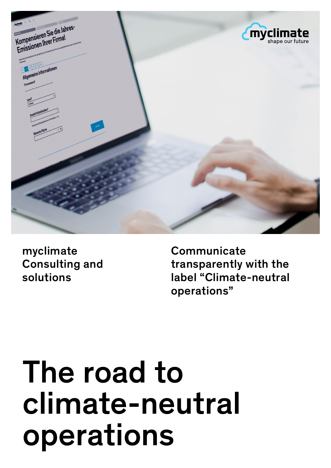

myclimate Consulting and solutions

**Communicate** transparently with the label "Climate-neutral operations"

# The road to climate-neutral operations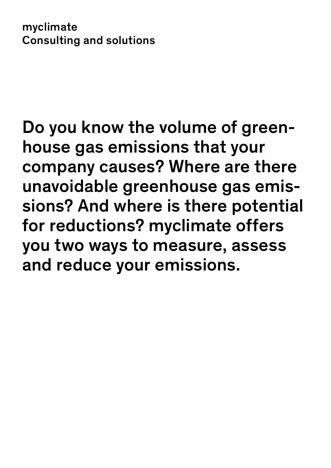myclimate Consulting and solutions

Do you know the volume of greenhouse gas emissions that your company causes? Where are there unavoidable greenhouse gas emissions? And where is there potential for reductions? myclimate offers you two ways to measure, assess and reduce your emissions.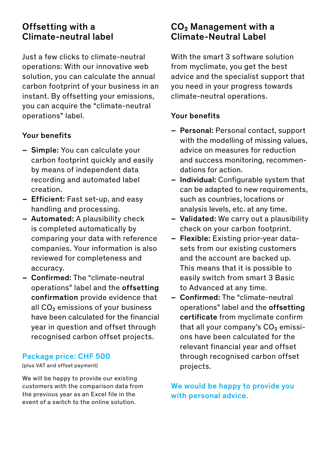### Offsetting with a Climate-neutral label

Just a few clicks to climate-neutral operations: With our innovative web solution, you can calculate the annual carbon footprint of your business in an instant. By offsetting your emissions, you can acquire the "climate-neutral operations" label.

#### Your benefits

- Simple: You can calculate your carbon footprint quickly and easily by means of independent data recording and automated label creation.
- Efficient: Fast set-up, and easy handling and processing.
- Automated: A plausibility check is completed automatically by comparing your data with reference companies. Your information is also reviewed for completeness and accuracy.
- Confirmed: The "climate-neutral operations" label and the offsetting confirmation provide evidence that all  $CO<sub>2</sub>$  emissions of your business have been calculated for the financial year in question and offset through recognised carbon offset projects.

#### Package price: CHF 500

(plus VAT and offset payment)

We will be happy to provide our existing customers with the comparison data from the previous year as an Excel file in the event of a switch to the online solution.

## CO2 Management with a Climate-Neutral Label

With the smart 3 software solution from myclimate, you get the best advice and the specialist support that you need in your progress towards climate-neutral operations.

#### Your benefits

- Personal: Personal contact, support with the modelling of missing values. advice on measures for reduction and success monitoring, recommendations for action.
- Individual: Configurable system that can be adapted to new requirements, such as countries, locations or analysis levels, etc. at any time.
- Validated: We carry out a plausibility check on your carbon footprint.
- Flexible: Existing prior-year datasets from our existing customers and the account are backed up. This means that it is possible to easily switch from smart 3 Basic to Advanced at any time.
- Confirmed: The "climate-neutral operations" label and the offsetting certificate from myclimate confirm that all your company's  $CO<sub>2</sub>$  emissions have been calculated for the relevant financial year and offset through recognised carbon offset projects.

We would be happy to provide you with personal advice.